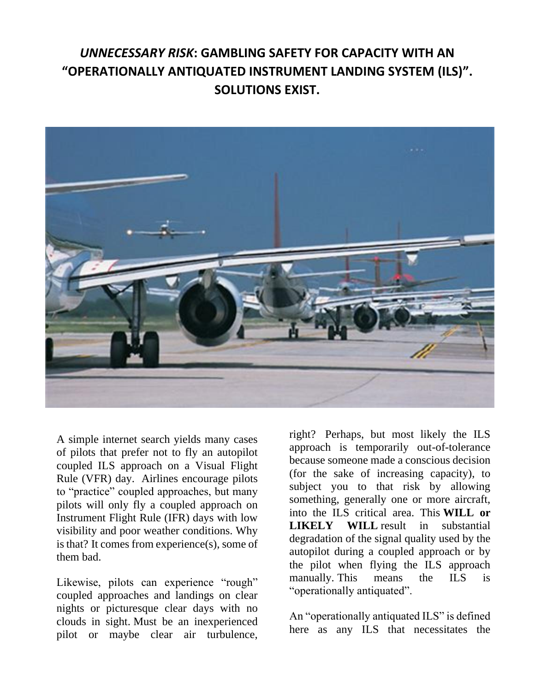## *UNNECESSARY RISK***: GAMBLING SAFETY FOR CAPACITY WITH AN "OPERATIONALLY ANTIQUATED INSTRUMENT LANDING SYSTEM (ILS)". SOLUTIONS EXIST.**



A simple internet search yields many cases of pilots that prefer not to fly an autopilot coupled ILS approach on a Visual Flight Rule (VFR) day. Airlines encourage pilots to "practice" coupled approaches, but many pilots will only fly a coupled approach on Instrument Flight Rule (IFR) days with low visibility and poor weather conditions. Why is that? It comes from experience(s), some of them bad.

Likewise, pilots can experience "rough" coupled approaches and landings on clear nights or picturesque clear days with no clouds in sight. Must be an inexperienced pilot or maybe clear air turbulence, right? Perhaps, but most likely the ILS approach is temporarily out-of-tolerance because someone made a conscious decision (for the sake of increasing capacity), to subject you to that risk by allowing something, generally one or more aircraft, into the ILS critical area. This **WILL or LIKELY WILL** result in substantial degradation of the signal quality used by the autopilot during a coupled approach or by the pilot when flying the ILS approach manually. This means the ILS is "operationally antiquated".

An "operationally antiquated ILS" is defined here as any ILS that necessitates the